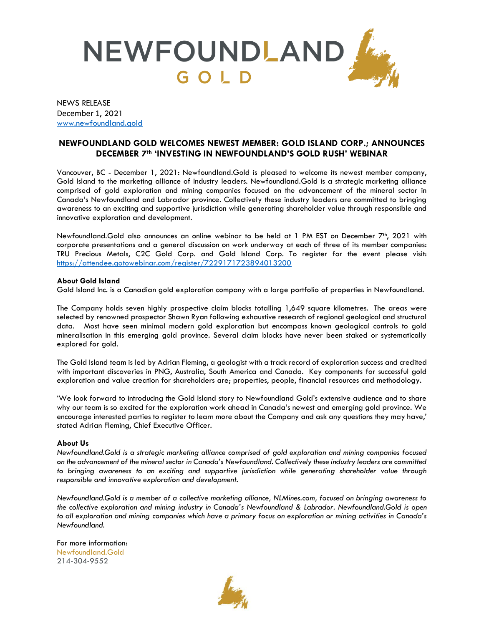

NEWS RELEASE December 1, 2021 [www.newfoundland.gold](http://www.newfoundland.gold/)

## **NEWFOUNDLAND GOLD WELCOMES NEWEST MEMBER: GOLD ISLAND CORP.; ANNOUNCES DECEMBER 7th 'INVESTING IN NEWFOUNDLAND'S GOLD RUSH' WEBINAR**

Vancouver, BC - December 1, 2021: Newfoundland.Gold is pleased to welcome its newest member company, Gold Island to the marketing alliance of industry leaders. Newfoundland.Gold is a strategic marketing alliance comprised of gold exploration and mining companies focused on the advancement of the mineral sector in Canada's Newfoundland and Labrador province. Collectively these industry leaders are committed to bringing awareness to an exciting and supportive jurisdiction while generating shareholder value through responsible and innovative exploration and development.

Newfoundland.Gold also announces an online webinar to be held at 1 PM EST on December 7th, 2021 with corporate presentations and a general discussion on work underway at each of three of its member companies: TRU Precious Metals, C2C Gold Corp. and Gold Island Corp. To register for the event please visit: <https://attendee.gotowebinar.com/register/7229171723894013200>

## **About Gold Island**

Gold Island Inc. is a Canadian gold exploration company with a large portfolio of properties in Newfoundland.

The Company holds seven highly prospective claim blocks totalling 1,649 square kilometres. The areas were selected by renowned prospector Shawn Ryan following exhaustive research of regional geological and structural data. Most have seen minimal modern gold exploration but encompass known geological controls to gold mineralisation in this emerging gold province. Several claim blocks have never been staked or systematically explored for gold.

The Gold Island team is led by Adrian Fleming, a geologist with a track record of exploration success and credited with important discoveries in PNG, Australia, South America and Canada. Key components for successful gold exploration and value creation for shareholders are; properties, people, financial resources and methodology.

'We look forward to introducing the Gold Island story to Newfoundland Gold's extensive audience and to share why our team is so excited for the exploration work ahead in Canada's newest and emerging gold province. We encourage interested parties to register to learn more about the Company and ask any questions they may have,' stated Adrian Fleming, Chief Executive Officer.

## **About Us**

*Newfoundland.Gold is a strategic marketing alliance comprised of gold exploration and mining companies focused on the advancement of the mineral sector in Canada's Newfoundland. Collectively these industry leaders are committed to bringing awareness to an exciting and supportive jurisdiction while generating shareholder value through responsible and innovative exploration and development.* 

*Newfoundland.Gold is a member of a collective marketing alliance, NLMines.com, focused on bringing awareness to the collective exploration and mining industry in Canada's Newfoundland & Labrador. Newfoundland.Gold is open*  to all exploration and mining companies which have a primary focus on exploration or mining activities in Canada's *Newfoundland.* 

For more information: Newfoundland.Gold 214-304-9552